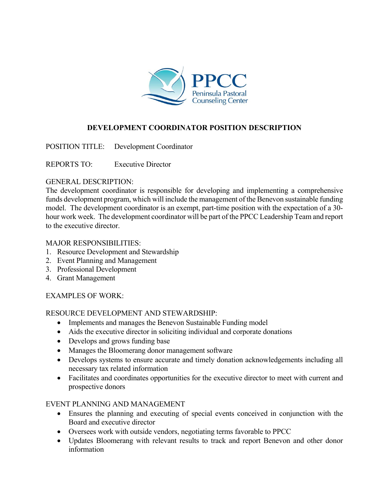

# **DEVELOPMENT COORDINATOR POSITION DESCRIPTION**

POSITION TITLE: Development Coordinator

REPORTS TO: Executive Director

#### GENERAL DESCRIPTION:

The development coordinator is responsible for developing and implementing a comprehensive funds development program, which will include the management of the Benevon sustainable funding model. The development coordinator is an exempt, part-time position with the expectation of a 30 hour work week. The development coordinator will be part of the PPCC Leadership Team and report to the executive director.

#### MAJOR RESPONSIBILITIES:

- 1. Resource Development and Stewardship
- 2. Event Planning and Management
- 3. Professional Development
- 4. Grant Management

# EXAMPLES OF WORK:

# RESOURCE DEVELOPMENT AND STEWARDSHIP:

- Implements and manages the Benevon Sustainable Funding model
- Aids the executive director in soliciting individual and corporate donations
- Develops and grows funding base
- Manages the Bloomerang donor management software
- Develops systems to ensure accurate and timely donation acknowledgements including all necessary tax related information
- Facilitates and coordinates opportunities for the executive director to meet with current and prospective donors

#### EVENT PLANNING AND MANAGEMENT

- Ensures the planning and executing of special events conceived in conjunction with the Board and executive director
- Oversees work with outside vendors, negotiating terms favorable to PPCC
- Updates Bloomerang with relevant results to track and report Benevon and other donor information